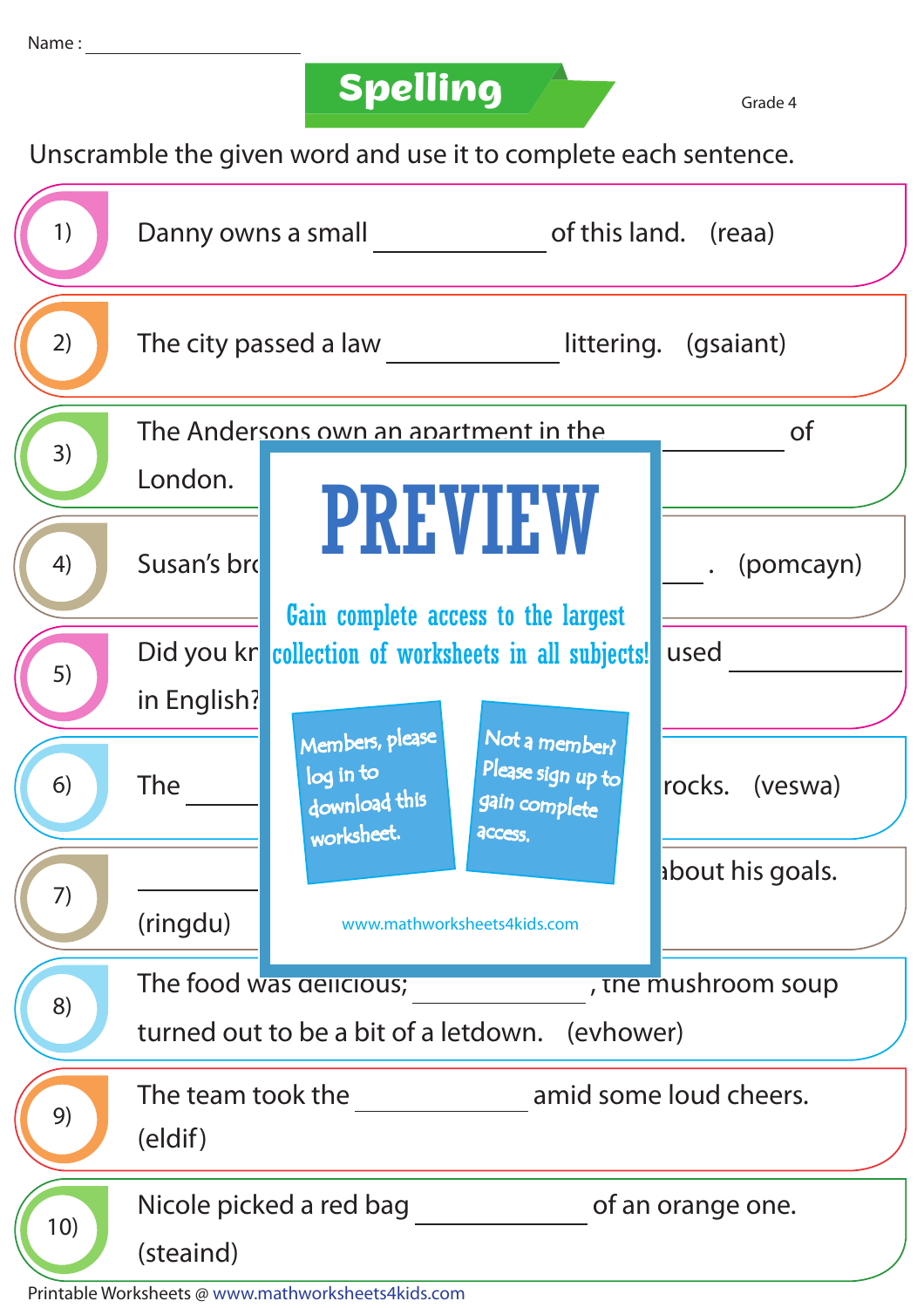**Spelling Grade 4** 

Unscramble the given word and use it to complete each sentence.

|  | 1)  | of this land. (reaa)<br>Danny owns a small         |                                                             |                                                                |                  |  |  |
|--|-----|----------------------------------------------------|-------------------------------------------------------------|----------------------------------------------------------------|------------------|--|--|
|  | 2)  |                                                    | The city passed a law<br>littering. (gsaiant)               |                                                                |                  |  |  |
|  | 3)  | The Andersons own an apartment in the<br><b>of</b> |                                                             |                                                                |                  |  |  |
|  |     | London.                                            |                                                             |                                                                |                  |  |  |
|  | 4)  | Susan's bro                                        | <b>PREVIEW</b><br>Gain complete access to the largest       |                                                                | (pomcayn)        |  |  |
|  | 5)  |                                                    | Did you kr collection of worksheets in all subjects!        |                                                                | used             |  |  |
|  |     | in English?                                        |                                                             |                                                                |                  |  |  |
|  | 6)  | <b>The</b>                                         | Members, please<br>log in to<br>download this<br>worksheet. | Not a member?<br>Please sign up to<br>gain complete<br>access. | rocks. (veswa)   |  |  |
|  | 7)  |                                                    |                                                             |                                                                | about his goals. |  |  |
|  |     | (ringdu)                                           | www.mathworksheets4kids.com                                 |                                                                |                  |  |  |
|  | 8)  | The food was delicious;<br>, the mushroom soup     |                                                             |                                                                |                  |  |  |
|  |     | turned out to be a bit of a letdown. (evhower)     |                                                             |                                                                |                  |  |  |
|  | 9)  | amid some loud cheers.<br>The team took the        |                                                             |                                                                |                  |  |  |
|  |     | (eldif)                                            |                                                             |                                                                |                  |  |  |
|  | 10) | Nicole picked a red bag<br>of an orange one.       |                                                             |                                                                |                  |  |  |
|  |     | (steaind)                                          |                                                             |                                                                |                  |  |  |

Printable Worksheets @ www.mathworksheets4kids.com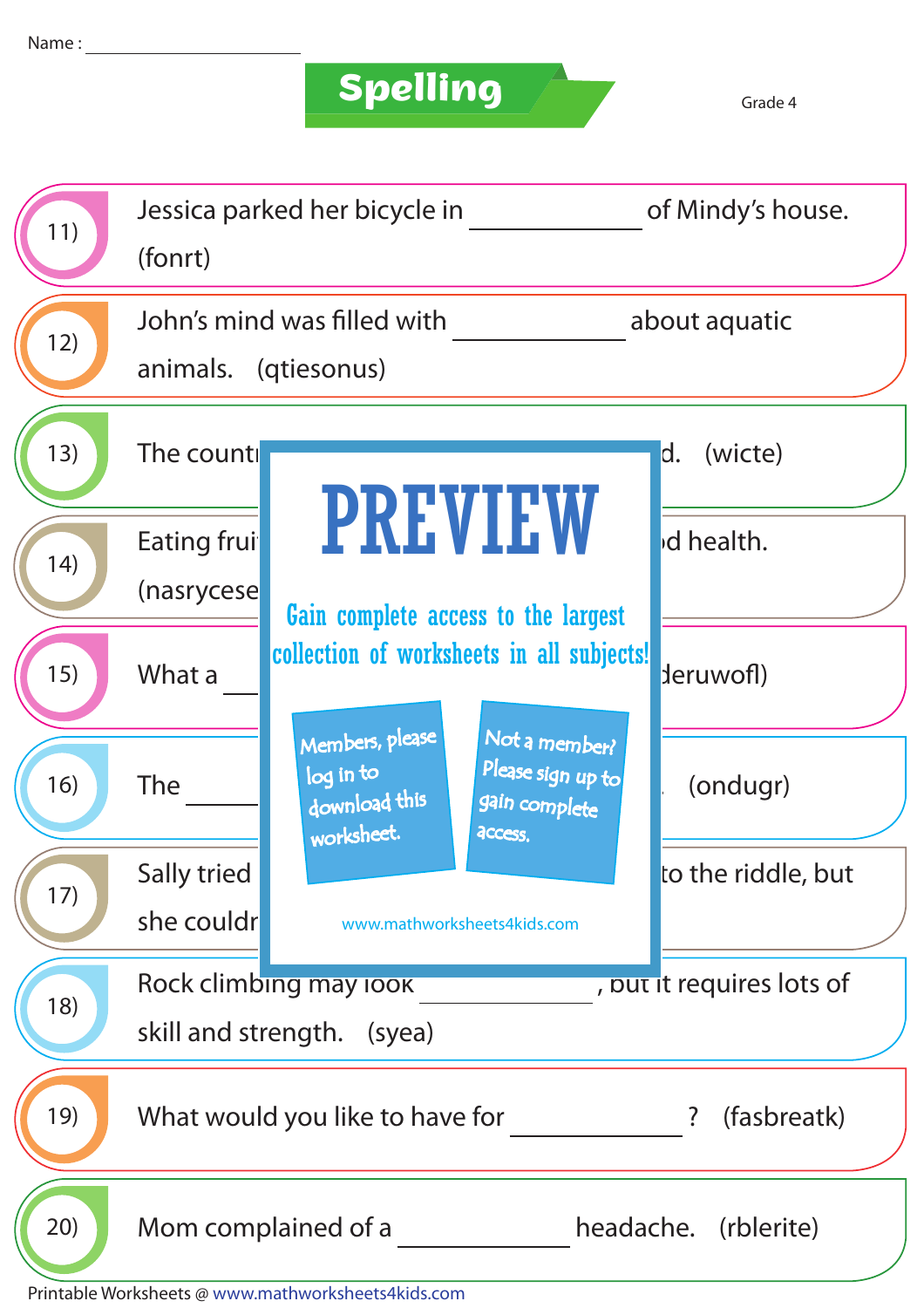## **Spelling**

| 11)  | Jessica parked her bicycle in<br>(fonrt)                                                                                                    | of Mindy's house.  |  |  |  |
|------|---------------------------------------------------------------------------------------------------------------------------------------------|--------------------|--|--|--|
| 12)  | John's mind was filled with<br>animals. (qtiesonus)                                                                                         | about aquatic      |  |  |  |
| 13)  | The counti                                                                                                                                  | (wicte)<br>d.      |  |  |  |
| (14) | <b>PREVIEW</b><br>Eating frui<br>(nasrycese<br>Gain complete access to the largest                                                          | d health.          |  |  |  |
| 15)  | collection of worksheets in all subjects!<br>What a                                                                                         | deruwofl)          |  |  |  |
| 16)  | Members, please<br>Not a member?<br>Please sign up to<br>log in to<br><b>The</b><br>download this<br>gain complete<br>worksheet.<br>access. | (ondugr)           |  |  |  |
| 17)  | Sally tried                                                                                                                                 | to the riddle, but |  |  |  |
|      | she couldr<br>www.mathworksheets4kids.com                                                                                                   |                    |  |  |  |
| 18)  | Rock climbing may look<br>, put it requires lots of                                                                                         |                    |  |  |  |
|      | skill and strength. (syea)                                                                                                                  |                    |  |  |  |
| 19)  | (fasbreatk)<br>What would you like to have for<br>?                                                                                         |                    |  |  |  |
| 20)  | Mom complained of a<br>headache. (rblerite)                                                                                                 |                    |  |  |  |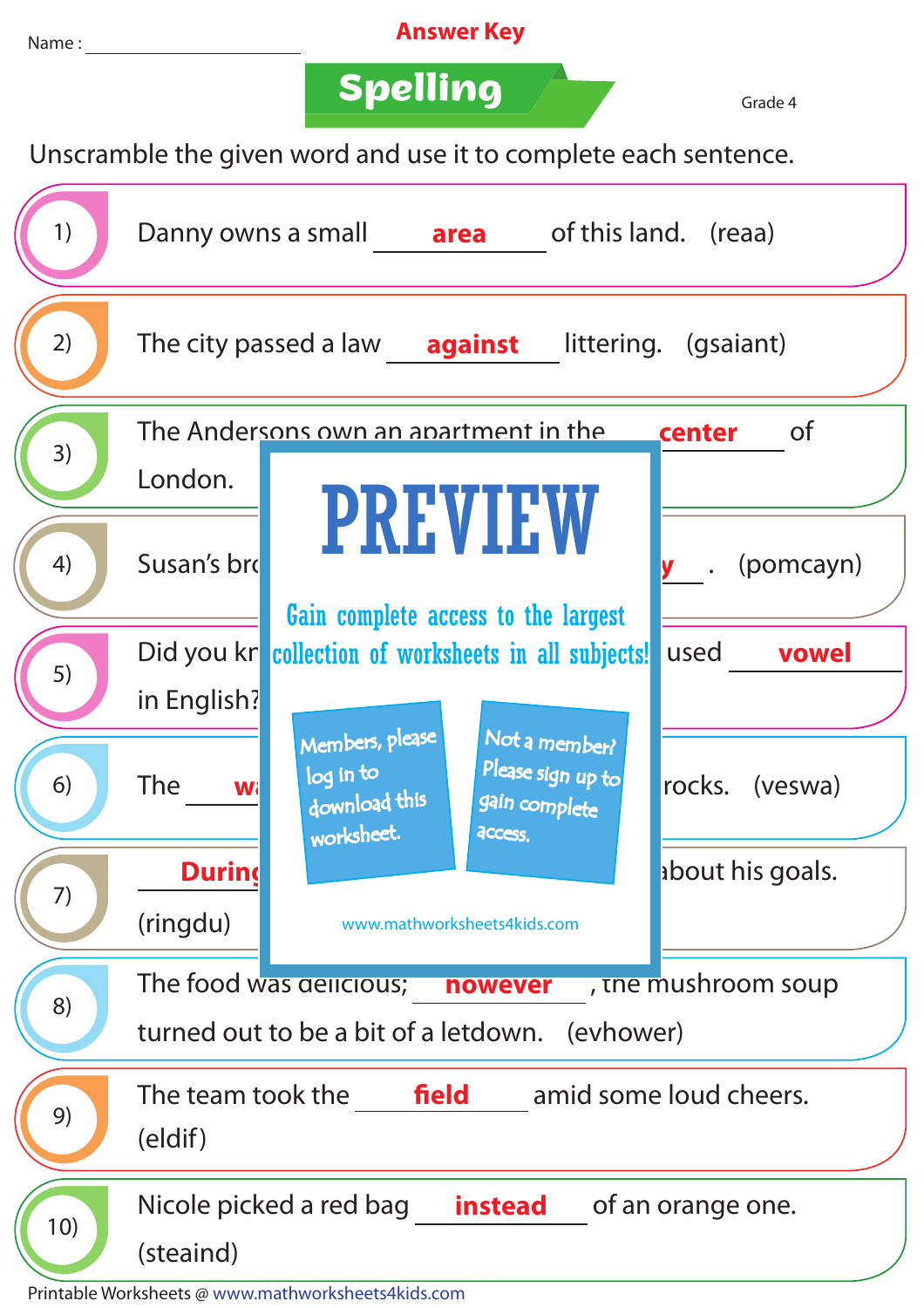

Printable Worksheets @ www.mathworksheets4kids.com